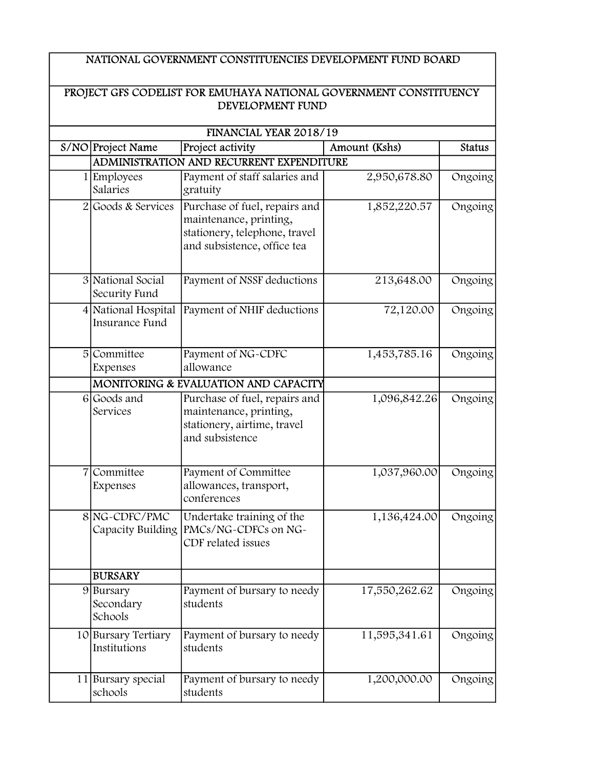| NATIONAL GOVERNMENT CONSTITUENCIES DEVELOPMENT FUND BOARD |                                                                                              |                                                                                                                         |               |               |  |  |
|-----------------------------------------------------------|----------------------------------------------------------------------------------------------|-------------------------------------------------------------------------------------------------------------------------|---------------|---------------|--|--|
|                                                           | PROJECT GFS CODELIST FOR EMUHAYA NATIONAL GOVERNMENT CONSTITUENCY<br><b>DEVELOPMENT FUND</b> |                                                                                                                         |               |               |  |  |
|                                                           |                                                                                              | FINANCIAL YEAR 2018/19                                                                                                  |               |               |  |  |
|                                                           | S/NO Project Name                                                                            | Project activity                                                                                                        | Amount (Kshs) | <b>Status</b> |  |  |
|                                                           |                                                                                              | ADMINISTRATION AND RECURRENT EXPENDITURE                                                                                |               |               |  |  |
|                                                           | 1 Employees<br>Salaries                                                                      | Payment of staff salaries and<br>gratuity                                                                               | 2,950,678.80  | Ongoing       |  |  |
|                                                           | $2$ Goods & Services                                                                         | Purchase of fuel, repairs and<br>maintenance, printing,<br>stationery, telephone, travel<br>and subsistence, office tea | 1,852,220.57  | Ongoing       |  |  |
|                                                           | 3 National Social<br>Security Fund                                                           | Payment of NSSF deductions                                                                                              | 213,648.00    | Ongoing       |  |  |
|                                                           | 4 National Hospital<br>Insurance Fund                                                        | Payment of NHIF deductions                                                                                              | 72,120.00     | Ongoing       |  |  |
|                                                           | 5 Committee<br>Expenses                                                                      | Payment of NG-CDFC<br>allowance                                                                                         | 1,453,785.16  | Ongoing       |  |  |
|                                                           |                                                                                              | MONITORING & EVALUATION AND CAPACITY                                                                                    |               |               |  |  |
|                                                           | 6 Goods and<br>Services                                                                      | Purchase of fuel, repairs and<br>maintenance, printing,<br>stationery, airtime, travel<br>and subsistence               | 1,096,842.26  | Ongoing       |  |  |
| 7                                                         | Committee<br>Expenses                                                                        | Payment of Committee<br>allowances, transport,<br>conferences                                                           | 1,037,960.00  | Ongoing       |  |  |
|                                                           | 8 NG-CDFC/PMC<br>Capacity Building                                                           | Undertake training of the<br>PMCs/NG-CDFCs on NG-<br>CDF related issues                                                 | 1,136,424.00  | Ongoing       |  |  |
|                                                           | <b>BURSARY</b>                                                                               |                                                                                                                         |               |               |  |  |
|                                                           | 9Bursary<br>Secondary<br>Schools                                                             | Payment of bursary to needy<br>students                                                                                 | 17,550,262.62 | Ongoing       |  |  |
|                                                           | 10 Bursary Tertiary<br>Institutions                                                          | Payment of bursary to needy<br>students                                                                                 | 11,595,341.61 | Ongoing       |  |  |
|                                                           | 11 Bursary special<br>schools                                                                | Payment of bursary to needy<br>students                                                                                 | 1,200,000.00  | Ongoing       |  |  |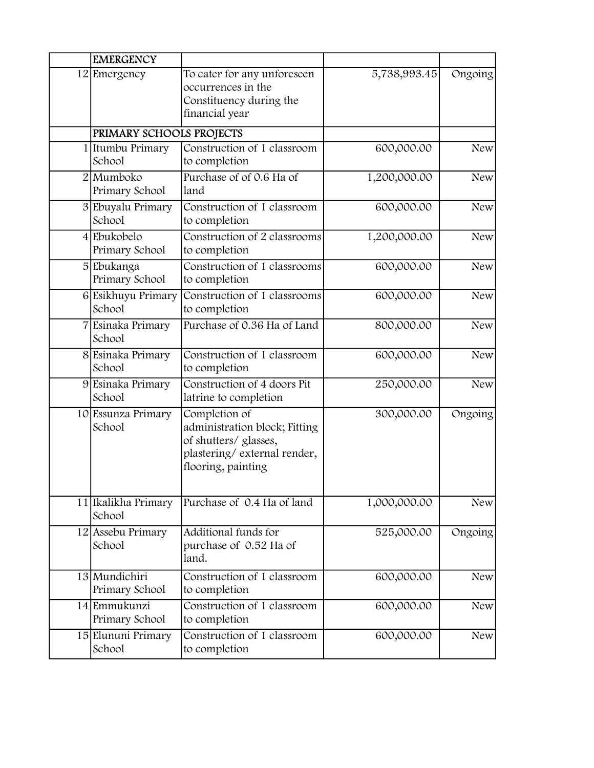| <b>EMERGENCY</b>                |                                                                                                                              |              |            |
|---------------------------------|------------------------------------------------------------------------------------------------------------------------------|--------------|------------|
| 12 Emergency                    | To cater for any unforeseen<br>occurrences in the<br>Constituency during the<br>financial year                               | 5,738,993.45 | Ongoing    |
| PRIMARY SCHOOLS PROJECTS        |                                                                                                                              |              |            |
| 1 Itumbu Primary<br>School      | Construction of 1 classroom<br>to completion                                                                                 | 600,000.00   | <b>New</b> |
| 2 Mumboko<br>Primary School     | Purchase of of 0.6 Ha of<br>land                                                                                             | 1,200,000.00 | <b>New</b> |
| 3 Ebuyalu Primary<br>School     | Construction of 1 classroom<br>to completion                                                                                 | 600,000.00   | <b>New</b> |
| 4 Ebukobelo<br>Primary School   | Construction of 2 classrooms<br>to completion                                                                                | 1,200,000.00 | <b>New</b> |
| 5 Ebukanga<br>Primary School    | Construction of 1 classrooms<br>to completion                                                                                | 600,000.00   | <b>New</b> |
| 6 Esikhuyu Primary<br>School    | Construction of 1 classrooms<br>to completion                                                                                | 600,000.00   | <b>New</b> |
| 7 Esinaka Primary<br>School     | Purchase of 0.36 Ha of Land                                                                                                  | 800,000.00   | <b>New</b> |
| 8 Esinaka Primary<br>School     | Construction of 1 classroom<br>to completion                                                                                 | 600,000.00   | <b>New</b> |
| 9 Esinaka Primary<br>School     | Construction of 4 doors Pit<br>latrine to completion                                                                         | 250,000.00   | <b>New</b> |
| 10 Essunza Primary<br>School    | Completion of<br>administration block; Fitting<br>of shutters/ glasses,<br>plastering/external render,<br>flooring, painting | 300,000.00   | Ongoing    |
| 11 Ikalikha Primary<br>School   | Purchase of 0.4 Ha of land                                                                                                   | 1,000,000.00 | <b>New</b> |
| 12 Assebu Primary<br>School     | Additional funds for<br>purchase of 0.52 Ha of<br>land.                                                                      | 525,000.00   | Ongoing    |
| 13 Mundichiri<br>Primary School | Construction of 1 classroom<br>to completion                                                                                 | 600,000.00   | <b>New</b> |
| 14 Emmukunzi<br>Primary School  | Construction of 1 classroom<br>to completion                                                                                 | 600,000.00   | <b>New</b> |
| 15 Elununi Primary<br>School    | Construction of 1 classroom<br>to completion                                                                                 | 600,000.00   | <b>New</b> |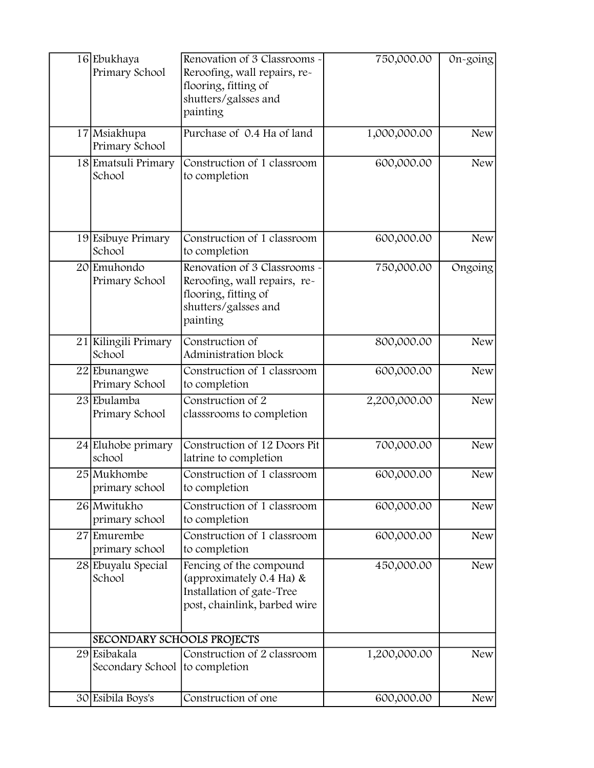| 16 Ebukhaya<br>Primary School                    | Renovation of 3 Classrooms -<br>Reroofing, wall repairs, re-<br>flooring, fitting of<br>shutters/galsses and<br>painting | 750,000.00   | On-going   |
|--------------------------------------------------|--------------------------------------------------------------------------------------------------------------------------|--------------|------------|
| 17 Msiakhupa<br>Primary School                   | Purchase of 0.4 Ha of land                                                                                               | 1,000,000.00 | <b>New</b> |
| 18 Ematsuli Primary<br>School                    | Construction of 1 classroom<br>to completion                                                                             | 600,000.00   | <b>New</b> |
| 19 Esibuye Primary<br>School                     | Construction of 1 classroom<br>to completion                                                                             | 600,000.00   | <b>New</b> |
| 20 Emuhondo<br>Primary School                    | Renovation of 3 Classrooms -<br>Reroofing, wall repairs, re-<br>flooring, fitting of<br>shutters/galsses and<br>painting | 750,000.00   | Ongoing    |
| 21 Kilingili Primary<br>School                   | Construction of<br>Administration block                                                                                  | 800,000.00   | <b>New</b> |
| 22 Ebunangwe<br>Primary School                   | Construction of 1 classroom<br>to completion                                                                             | 600,000.00   | <b>New</b> |
| 23 Ebulamba<br>Primary School                    | Construction of 2<br>classsrooms to completion                                                                           | 2,200,000.00 | <b>New</b> |
| 24 Eluhobe primary<br>school                     | Construction of 12 Doors Pit<br>latrine to completion                                                                    | 700,000.00   | <b>New</b> |
| 25 Mukhombe<br>primary school                    | Construction of 1 classroom<br>to completion                                                                             | 600,000.00   | <b>New</b> |
| 26 Mwitukho<br>primary school                    | Construction of 1 classroom<br>to completion                                                                             | 600,000.00   | <b>New</b> |
| 27 Emurembe<br>primary school                    | Construction of 1 classroom<br>to completion                                                                             | 600,000.00   | <b>New</b> |
| 28 Ebuyalu Special<br>School                     | Fencing of the compound<br>(approximately 0.4 Ha) &<br>Installation of gate-Tree<br>post, chainlink, barbed wire         | 450,000.00   | <b>New</b> |
| SECONDARY SCHOOLS PROJECTS                       |                                                                                                                          |              |            |
| 29 Esibakala<br>Secondary School   to completion | Construction of 2 classroom                                                                                              | 1,200,000.00 | <b>New</b> |
| 30 Esibila Boys's                                | Construction of one                                                                                                      | 600,000.00   | <b>New</b> |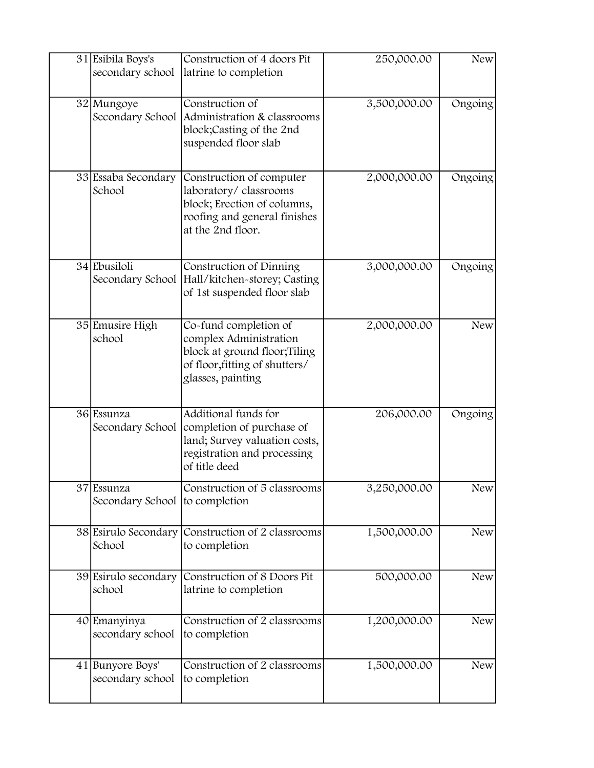| 31 Esibila Boys's<br>secondary school | Construction of 4 doors Pit<br>latrine to completion                                                                                   | 250,000.00   | <b>New</b> |
|---------------------------------------|----------------------------------------------------------------------------------------------------------------------------------------|--------------|------------|
| 32 Mungoye<br>Secondary School        | Construction of<br>Administration & classrooms<br>block;Casting of the 2nd<br>suspended floor slab                                     | 3,500,000.00 | Ongoing    |
| 33 Essaba Secondary<br>School         | Construction of computer<br>laboratory/classrooms<br>block; Erection of columns,<br>roofing and general finishes<br>at the 2nd floor.  | 2,000,000.00 | Ongoing    |
| 34 Ebusiloli<br>Secondary School      | Construction of Dinning<br>Hall/kitchen-storey; Casting<br>of 1st suspended floor slab                                                 | 3,000,000.00 | Ongoing    |
| 35 Emusire High<br>school             | Co-fund completion of<br>complex Administration<br>block at ground floor;Tiling<br>of floor, fitting of shutters/<br>glasses, painting | 2,000,000.00 | <b>New</b> |
| 36 Essunza<br>Secondary School        | Additional funds for<br>completion of purchase of<br>land; Survey valuation costs,<br>registration and processing<br>of title deed     | 206,000.00   | Ongoing    |
| 37 Essunza<br>Secondary School        | Construction of 5 classrooms<br>to completion                                                                                          | 3,250,000.00 | <b>New</b> |
| 38 Esirulo Secondary<br>School        | Construction of 2 classrooms<br>to completion                                                                                          | 1,500,000.00 | <b>New</b> |
| 39 Esirulo secondary<br>school        | Construction of 8 Doors Pit<br>latrine to completion                                                                                   | 500,000.00   | <b>New</b> |
| 40 Emanyinya<br>secondary school      | Construction of 2 classrooms<br>to completion                                                                                          | 1,200,000.00 | New        |
| 41 Bunyore Boys'<br>secondary school  | Construction of 2 classrooms<br>to completion                                                                                          | 1,500,000.00 | <b>New</b> |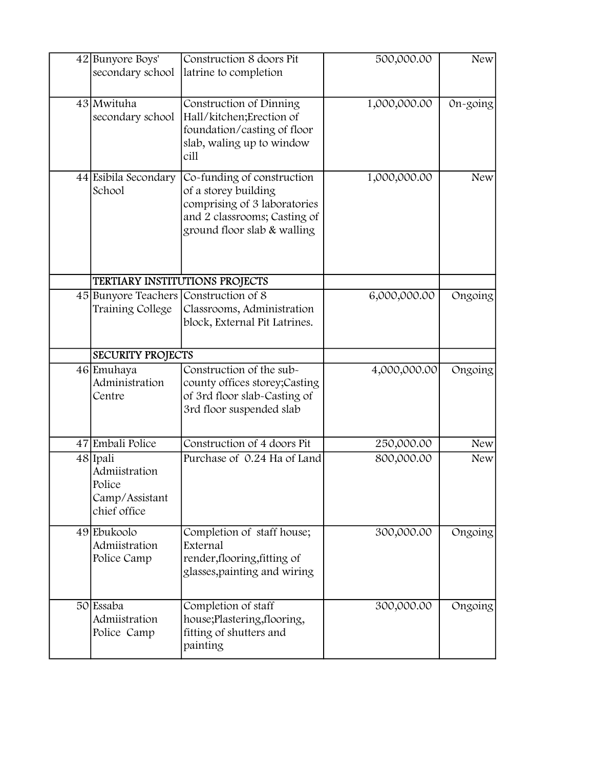| 42 Bunyore Boys'<br>secondary school                                  | Construction 8 doors Pit<br>latrine to completion                                                                                                 | 500,000.00   | <b>New</b> |
|-----------------------------------------------------------------------|---------------------------------------------------------------------------------------------------------------------------------------------------|--------------|------------|
| 43 Mwituha<br>secondary school                                        | Construction of Dinning<br>Hall/kitchen; Erection of<br>foundation/casting of floor<br>slab, waling up to window<br>cill                          | 1,000,000.00 | On-going   |
| 44 Esibila Secondary<br>School                                        | Co-funding of construction<br>of a storey building<br>comprising of 3 laboratories<br>and 2 classrooms; Casting of<br>ground floor slab & walling | 1,000,000.00 | <b>New</b> |
|                                                                       | TERTIARY INSTITUTIONS PROJECTS                                                                                                                    |              |            |
| 45 Bunyore Teachers Construction of 8<br>Training College             | Classrooms, Administration<br>block, External Pit Latrines.                                                                                       | 6,000,000.00 | Ongoing    |
| <b>SECURITY PROJECTS</b>                                              |                                                                                                                                                   |              |            |
| 46 Emuhaya<br>Administration<br>Centre                                | Construction of the sub-<br>county offices storey; Casting<br>of 3rd floor slab-Casting of<br>3rd floor suspended slab                            | 4,000,000.00 | Ongoing    |
| 47 Embali Police                                                      | Construction of 4 doors Pit                                                                                                                       | 250,000.00   | <b>New</b> |
| 48 Ipali<br>Admiistration<br>Police<br>Camp/Assistant<br>chief office | Purchase of 0.24 Ha of Land                                                                                                                       | 800,000.00   | <b>New</b> |
| 49 Ebukoolo<br>Admiistration<br>Police Camp                           | Completion of staff house;<br>External<br>render, flooring, fitting of<br>glasses, painting and wiring                                            | 300,000.00   | Ongoing    |
| 50 Essaba<br>Admiistration<br>Police Camp                             | Completion of staff<br>house;Plastering,flooring,<br>fitting of shutters and<br>painting                                                          | 300,000.00   | Ongoing    |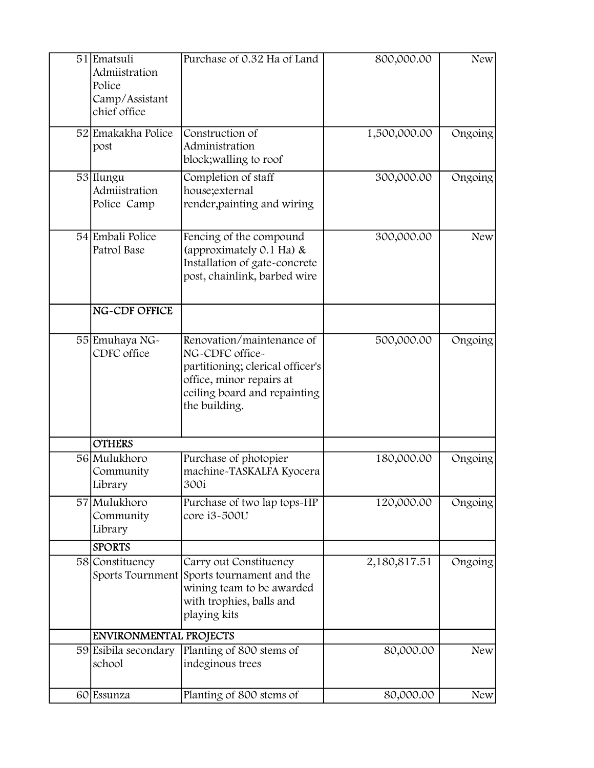| 51 Ematsuli<br>Admiistration<br>Police<br>Camp/Assistant<br>chief office | Purchase of 0.32 Ha of Land                                                                                                                                   | 800,000.00   | <b>New</b> |
|--------------------------------------------------------------------------|---------------------------------------------------------------------------------------------------------------------------------------------------------------|--------------|------------|
| 52 Emakakha Police<br>post                                               | Construction of<br>Administration<br>block; walling to roof                                                                                                   | 1,500,000.00 | Ongoing    |
| 53 Ilungu<br>Admiistration<br>Police Camp                                | Completion of staff<br>house; external<br>render, painting and wiring                                                                                         | 300,000.00   | Ongoing    |
| 54 Embali Police<br>Patrol Base                                          | Fencing of the compound<br>(approximately 0.1 Ha) &<br>Installation of gate-concrete<br>post, chainlink, barbed wire                                          | 300,000.00   | <b>New</b> |
| NG-CDF OFFICE                                                            |                                                                                                                                                               |              |            |
| 55 Emuhaya NG~<br>CDFC office                                            | Renovation/maintenance of<br>NG-CDFC office-<br>partitioning; clerical officer's<br>office, minor repairs at<br>ceiling board and repainting<br>the building. | 500,000.00   | Ongoing    |
| <b>OTHERS</b>                                                            |                                                                                                                                                               |              |            |
| 56 Mulukhoro<br>Community<br>Library                                     | Purchase of photopier<br>machine-TASKALFA Kyocera<br>300i                                                                                                     | 180,000.00   | Ongoing    |
| 57 Mulukhoro<br>Community<br>Library                                     | Purchase of two lap tops-HP<br>core i3-500U                                                                                                                   | 120,000.00   | Ongoing    |
| <b>SPORTS</b>                                                            |                                                                                                                                                               |              |            |
| 58 Constituency<br>Sports Tournment                                      | Carry out Constituency<br>Sports tournament and the<br>wining team to be awarded<br>with trophies, balls and<br>playing kits                                  | 2,180,817.51 | Ongoing    |
| <b>ENVIRONMENTAL PROJECTS</b>                                            |                                                                                                                                                               |              |            |
| 59 Esibila secondary<br>school                                           | Planting of 800 stems of<br>indeginous trees                                                                                                                  | 80,000.00    | <b>New</b> |
| 60 Essunza                                                               | Planting of 800 stems of                                                                                                                                      | 80,000.00    | <b>New</b> |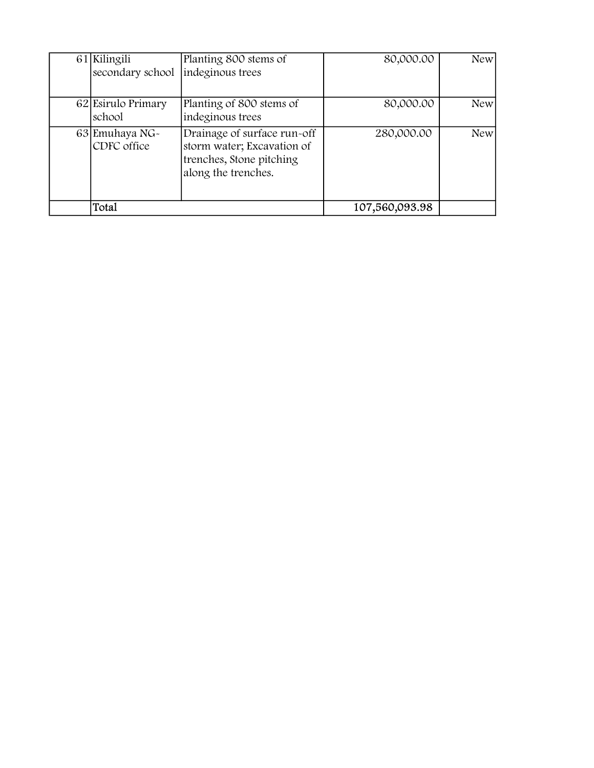| 61 Kilingili<br>secondary school | Planting 800 stems of<br>indeginous trees                                                                    | 80,000.00      | <b>New</b> |
|----------------------------------|--------------------------------------------------------------------------------------------------------------|----------------|------------|
| 62 Esirulo Primary<br>school     | Planting of 800 stems of<br>indeginous trees                                                                 | 80,000.00      | <b>New</b> |
| 63 Emuhaya NG~<br>CDFC office    | Drainage of surface run-off<br>storm water; Excavation of<br>trenches, Stone pitching<br>along the trenches. | 280,000.00     | <b>New</b> |
| Total                            |                                                                                                              | 107,560,093.98 |            |